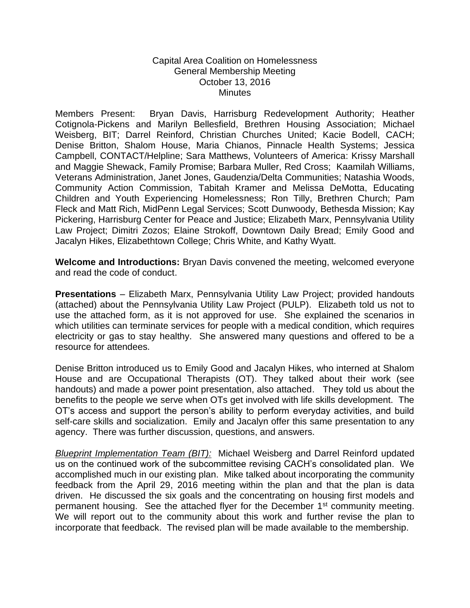## Capital Area Coalition on Homelessness General Membership Meeting October 13, 2016 **Minutes**

Members Present: Bryan Davis, Harrisburg Redevelopment Authority; Heather Cotignola-Pickens and Marilyn Bellesfield, Brethren Housing Association; Michael Weisberg, BIT; Darrel Reinford, Christian Churches United; Kacie Bodell, CACH; Denise Britton, Shalom House, Maria Chianos, Pinnacle Health Systems; Jessica Campbell, CONTACT/Helpline; Sara Matthews, Volunteers of America: Krissy Marshall and Maggie Shewack, Family Promise; Barbara Muller, Red Cross; Kaamilah Williams, Veterans Administration, Janet Jones, Gaudenzia/Delta Communities; Natashia Woods, Community Action Commission, Tabitah Kramer and Melissa DeMotta, Educating Children and Youth Experiencing Homelessness; Ron Tilly, Brethren Church; Pam Fleck and Matt Rich, MidPenn Legal Services; Scott Dunwoody, Bethesda Mission; Kay Pickering, Harrisburg Center for Peace and Justice; Elizabeth Marx, Pennsylvania Utility Law Project; Dimitri Zozos; Elaine Strokoff, Downtown Daily Bread; Emily Good and Jacalyn Hikes, Elizabethtown College; Chris White, and Kathy Wyatt.

**Welcome and Introductions:** Bryan Davis convened the meeting, welcomed everyone and read the code of conduct.

**Presentations** – Elizabeth Marx, Pennsylvania Utility Law Project; provided handouts (attached) about the Pennsylvania Utility Law Project (PULP). Elizabeth told us not to use the attached form, as it is not approved for use. She explained the scenarios in which utilities can terminate services for people with a medical condition, which requires electricity or gas to stay healthy. She answered many questions and offered to be a resource for attendees.

Denise Britton introduced us to Emily Good and Jacalyn Hikes, who interned at Shalom House and are Occupational Therapists (OT). They talked about their work (see handouts) and made a power point presentation, also attached. They told us about the benefits to the people we serve when OTs get involved with life skills development. The OT's access and support the person's ability to perform everyday activities, and build self-care skills and socialization. Emily and Jacalyn offer this same presentation to any agency. There was further discussion, questions, and answers.

*Blueprint Implementation Team (BIT):* Michael Weisberg and Darrel Reinford updated us on the continued work of the subcommittee revising CACH's consolidated plan. We accomplished much in our existing plan. Mike talked about incorporating the community feedback from the April 29, 2016 meeting within the plan and that the plan is data driven. He discussed the six goals and the concentrating on housing first models and permanent housing. See the attached flyer for the December 1<sup>st</sup> community meeting. We will report out to the community about this work and further revise the plan to incorporate that feedback. The revised plan will be made available to the membership.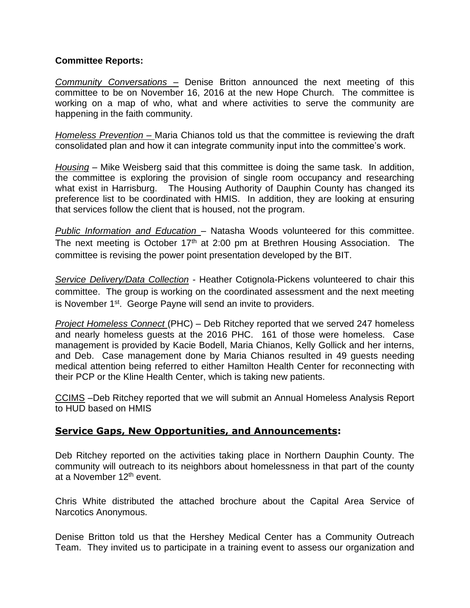## **Committee Reports:**

*Community Conversations –* Denise Britton announced the next meeting of this committee to be on November 16, 2016 at the new Hope Church. The committee is working on a map of who, what and where activities to serve the community are happening in the faith community.

*Homeless Prevention –* Maria Chianos told us that the committee is reviewing the draft consolidated plan and how it can integrate community input into the committee's work.

*Housing* – Mike Weisberg said that this committee is doing the same task. In addition, the committee is exploring the provision of single room occupancy and researching what exist in Harrisburg. The Housing Authority of Dauphin County has changed its preference list to be coordinated with HMIS. In addition, they are looking at ensuring that services follow the client that is housed, not the program.

*Public Information and Education* – Natasha Woods volunteered for this committee. The next meeting is October 17<sup>th</sup> at 2:00 pm at Brethren Housing Association. The committee is revising the power point presentation developed by the BIT.

*Service Delivery/Data Collection* - Heather Cotignola-Pickens volunteered to chair this committee. The group is working on the coordinated assessment and the next meeting is November 1<sup>st</sup>. George Payne will send an invite to providers.

*Project Homeless Connect* (PHC) – Deb Ritchey reported that we served 247 homeless and nearly homeless guests at the 2016 PHC. 161 of those were homeless. Case management is provided by Kacie Bodell, Maria Chianos, Kelly Gollick and her interns, and Deb. Case management done by Maria Chianos resulted in 49 guests needing medical attention being referred to either Hamilton Health Center for reconnecting with their PCP or the Kline Health Center, which is taking new patients.

CCIMS –Deb Ritchey reported that we will submit an Annual Homeless Analysis Report to HUD based on HMIS

## **Service Gaps, New Opportunities, and Announcements:**

Deb Ritchey reported on the activities taking place in Northern Dauphin County. The community will outreach to its neighbors about homelessness in that part of the county at a November 12th event.

Chris White distributed the attached brochure about the Capital Area Service of Narcotics Anonymous.

Denise Britton told us that the Hershey Medical Center has a Community Outreach Team. They invited us to participate in a training event to assess our organization and